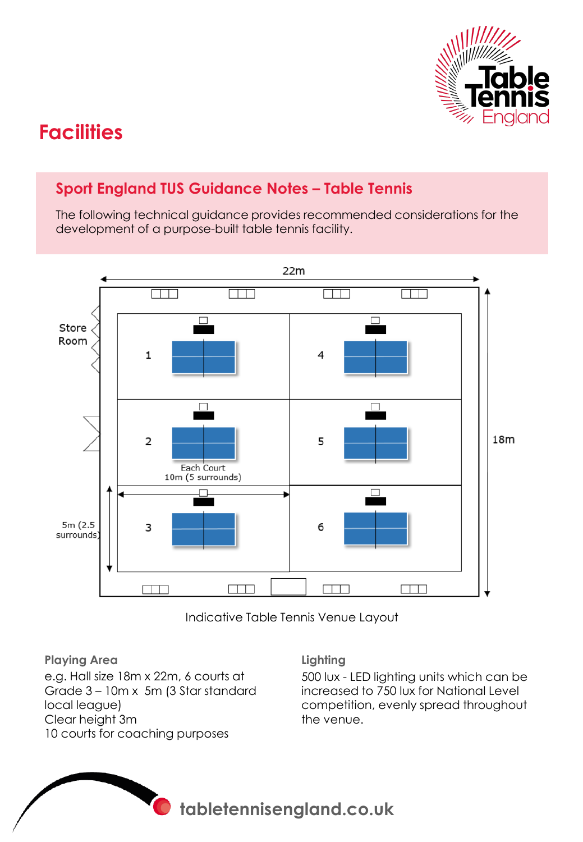

# **Facilities**

# **Sport England TUS Guidance Notes – Table Tennis**

The following technical guidance provides recommended considerations for the development of a purpose-built table tennis facility.



Indicative Table Tennis Venue Layout

**Playing Area**  e.g. Hall size 18m x 22m, 6 courts at Grade 3 – 10m x 5m (3 Star standard local league) Clear height 3m 10 courts for coaching purposes

#### **Lighting**

500 lux - LED lighting units which can be increased to 750 lux for National Level competition, evenly spread throughout the venue.